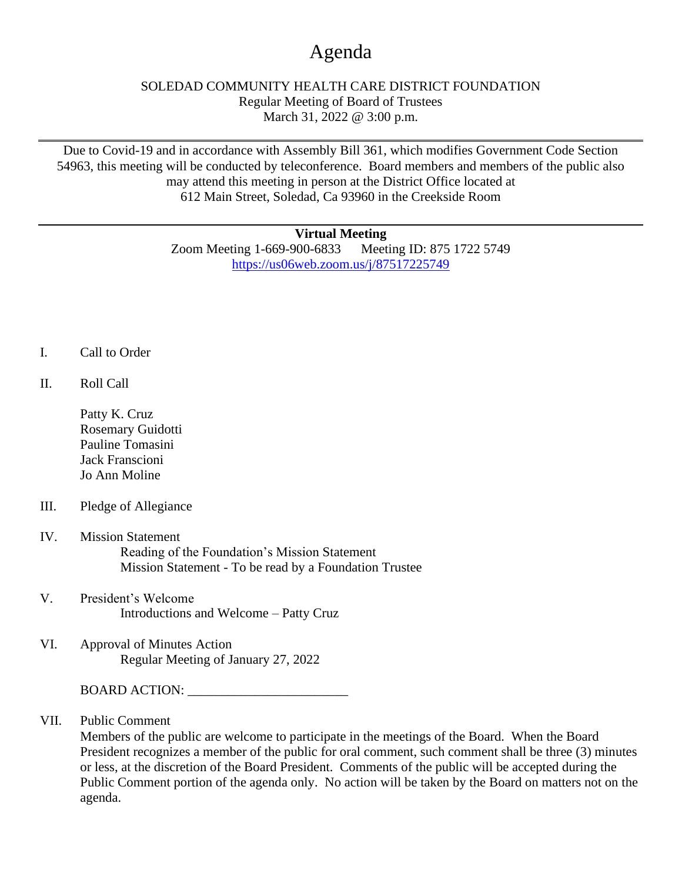## Agenda

## SOLEDAD COMMUNITY HEALTH CARE DISTRICT FOUNDATION Regular Meeting of Board of Trustees March 31, 2022 @ 3:00 p.m.

Due to Covid-19 and in accordance with Assembly Bill 361, which modifies Government Code Section 54963, this meeting will be conducted by teleconference. Board members and members of the public also may attend this meeting in person at the District Office located at 612 Main Street, Soledad, Ca 93960 in the Creekside Room

## **Virtual Meeting**

Zoom Meeting 1-669-900-6833 Meeting ID: 875 1722 5749 <https://us06web.zoom.us/j/87517225749>

- I. Call to Order
- II. Roll Call
	- Patty K. Cruz Rosemary Guidotti Pauline Tomasini Jack Franscioni Jo Ann Moline
- III. Pledge of Allegiance
- IV. Mission Statement Reading of the Foundation's Mission Statement Mission Statement - To be read by a Foundation Trustee
- V. President's Welcome Introductions and Welcome – Patty Cruz
- VI. Approval of Minutes Action Regular Meeting of January 27, 2022

BOARD ACTION: \_\_\_\_\_\_\_\_\_\_\_\_\_\_\_\_\_\_\_\_\_\_\_\_

VII. Public Comment

Members of the public are welcome to participate in the meetings of the Board. When the Board President recognizes a member of the public for oral comment, such comment shall be three (3) minutes or less, at the discretion of the Board President. Comments of the public will be accepted during the Public Comment portion of the agenda only. No action will be taken by the Board on matters not on the agenda.